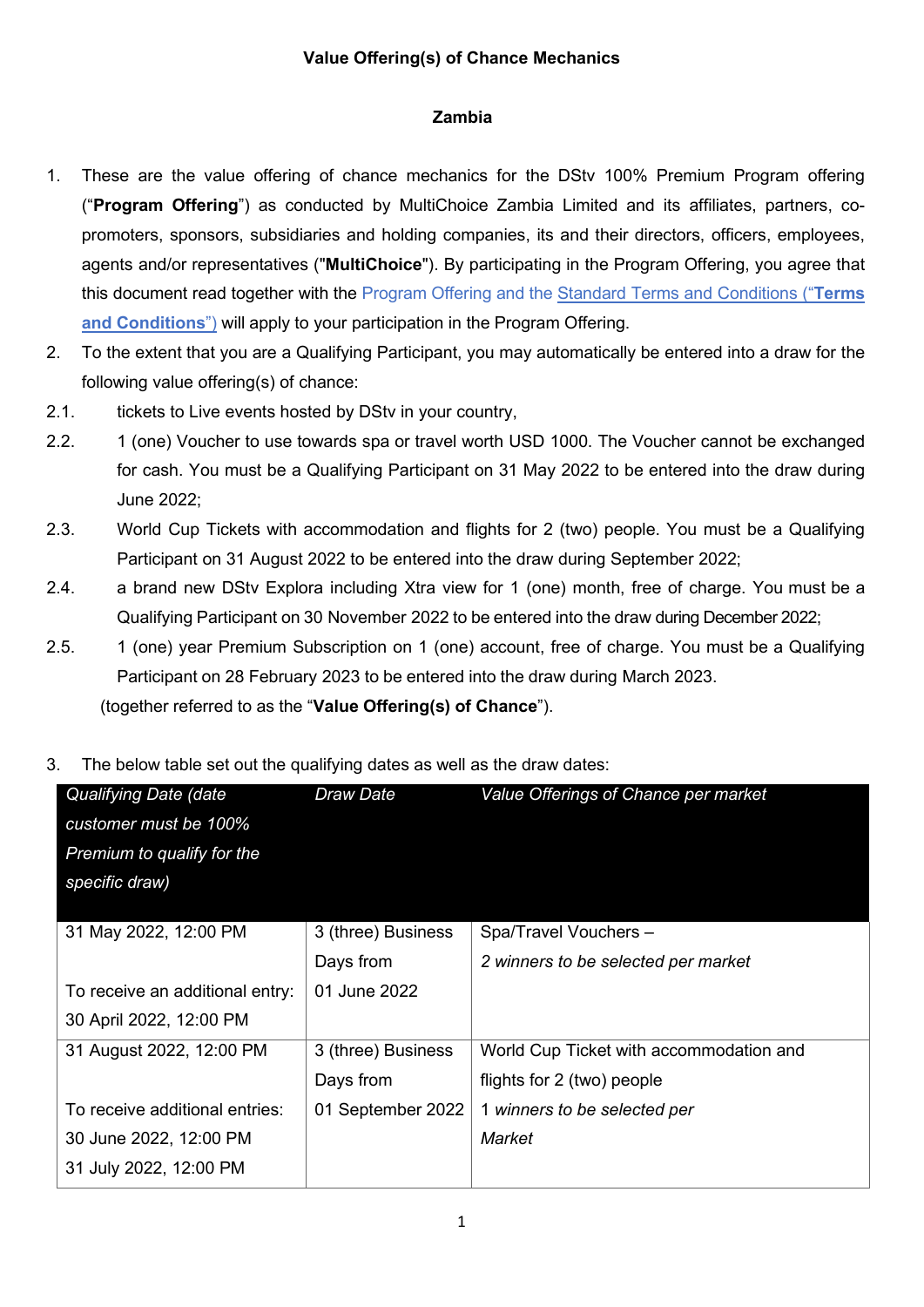## **Value Offering(s) of Chance Mechanics**

## **Zambia**

- 1. These are the value offering of chance mechanics for the DStv 100% Premium Program offering ("**Program Offering**") as conducted by MultiChoice Zambia Limited and its affiliates, partners, copromoters, sponsors, subsidiaries and holding companies, its and their directors, officers, employees, agents and/or representatives ("**MultiChoice**"). By participating in the Program Offering, you agree that this document read together with the Program Offering and the Standard Terms and [Conditions](https://www.multichoice.com/media/2148/standard-terms-and-conditions-applicable-to-campaigns-or-promotions-or-competitions-new.pdf) ("**Terms and Conditions**") will apply to your participation in the Program Offering.
- 2. To the extent that you are a Qualifying Participant, you may automatically be entered into a draw for the following value offering(s) of chance:
- 2.1. tickets to Live events hosted by DStv in your country,
- 2.2. 1 (one) Voucher to use towards spa or travel worth USD 1000. The Voucher cannot be exchanged for cash. You must be a Qualifying Participant on 31 May 2022 to be entered into the draw during June 2022;
- 2.3. World Cup Tickets with accommodation and flights for 2 (two) people. You must be a Qualifying Participant on 31 August 2022 to be entered into the draw during September 2022;
- 2.4. a brand new DStv Explora including Xtra view for 1 (one) month, free of charge. You must be a Qualifying Participant on 30 November 2022 to be entered into the draw during December 2022;
- 2.5. 1 (one) year Premium Subscription on 1 (one) account, free of charge. You must be a Qualifying Participant on 28 February 2023 to be entered into the draw during March 2023.

(together referred to as the "**Value Offering(s) of Chance**").

3. The below table set out the qualifying dates as well as the draw dates:

| Qualifying Date (date           | Draw Date          | Value Offerings of Chance per market    |
|---------------------------------|--------------------|-----------------------------------------|
| customer must be 100%           |                    |                                         |
| Premium to qualify for the      |                    |                                         |
| specific draw)                  |                    |                                         |
|                                 |                    |                                         |
| 31 May 2022, 12:00 PM           | 3 (three) Business | Spa/Travel Vouchers -                   |
|                                 | Days from          | 2 winners to be selected per market     |
| To receive an additional entry: | 01 June 2022       |                                         |
| 30 April 2022, 12:00 PM         |                    |                                         |
| 31 August 2022, 12:00 PM        | 3 (three) Business | World Cup Ticket with accommodation and |
|                                 | Days from          | flights for 2 (two) people              |
| To receive additional entries:  | 01 September 2022  | 1 winners to be selected per            |
| 30 June 2022, 12:00 PM          |                    | Market                                  |
| 31 July 2022, 12:00 PM          |                    |                                         |